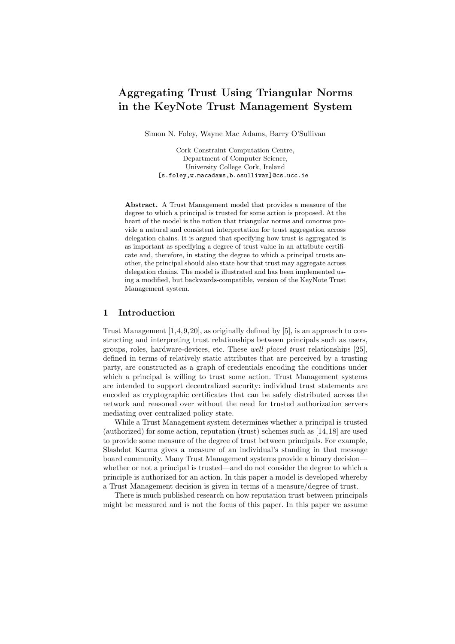# Aggregating Trust Using Triangular Norms in the KeyNote Trust Management System

Simon N. Foley, Wayne Mac Adams, Barry O'Sullivan

Cork Constraint Computation Centre, Department of Computer Science, University College Cork, Ireland [s.foley,w.macadams,b.osullivan]@cs.ucc.ie

Abstract. A Trust Management model that provides a measure of the degree to which a principal is trusted for some action is proposed. At the heart of the model is the notion that triangular norms and conorms provide a natural and consistent interpretation for trust aggregation across delegation chains. It is argued that specifying how trust is aggregated is as important as specifying a degree of trust value in an attribute certificate and, therefore, in stating the degree to which a principal trusts another, the principal should also state how that trust may aggregate across delegation chains. The model is illustrated and has been implemented using a modified, but backwards-compatible, version of the KeyNote Trust Management system.

# 1 Introduction

Trust Management  $[1,4,9,20]$ , as originally defined by  $[5]$ , is an approach to constructing and interpreting trust relationships between principals such as users, groups, roles, hardware-devices, etc. These well placed trust relationships [25], defined in terms of relatively static attributes that are perceived by a trusting party, are constructed as a graph of credentials encoding the conditions under which a principal is willing to trust some action. Trust Management systems are intended to support decentralized security: individual trust statements are encoded as cryptographic certificates that can be safely distributed across the network and reasoned over without the need for trusted authorization servers mediating over centralized policy state.

While a Trust Management system determines whether a principal is trusted (authorized) for some action, reputation (trust) schemes such as [14,18] are used to provide some measure of the degree of trust between principals. For example, Slashdot Karma gives a measure of an individual's standing in that message board community. Many Trust Management systems provide a binary decision whether or not a principal is trusted—and do not consider the degree to which a principle is authorized for an action. In this paper a model is developed whereby a Trust Management decision is given in terms of a measure/degree of trust.

There is much published research on how reputation trust between principals might be measured and is not the focus of this paper. In this paper we assume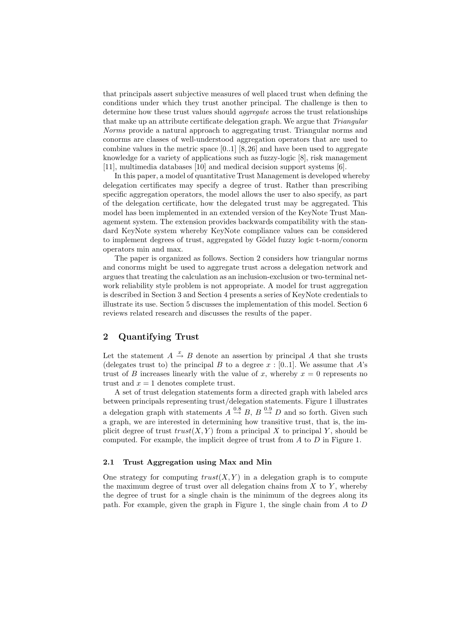that principals assert subjective measures of well placed trust when defining the conditions under which they trust another principal. The challenge is then to determine how these trust values should *aggregate* across the trust relationships that make up an attribute certificate delegation graph. We argue that *Triangular* Norms provide a natural approach to aggregating trust. Triangular norms and conorms are classes of well-understood aggregation operators that are used to combine values in the metric space [0..1] [8, 26] and have been used to aggregate knowledge for a variety of applications such as fuzzy-logic [8], risk management [11], multimedia databases [10] and medical decision support systems [6].

In this paper, a model of quantitative Trust Management is developed whereby delegation certificates may specify a degree of trust. Rather than prescribing specific aggregation operators, the model allows the user to also specify, as part of the delegation certificate, how the delegated trust may be aggregated. This model has been implemented in an extended version of the KeyNote Trust Management system. The extension provides backwards compatibility with the standard KeyNote system whereby KeyNote compliance values can be considered to implement degrees of trust, aggregated by Gödel fuzzy logic t-norm/conorm operators min and max.

The paper is organized as follows. Section 2 considers how triangular norms and conorms might be used to aggregate trust across a delegation network and argues that treating the calculation as an inclusion-exclusion or two-terminal network reliability style problem is not appropriate. A model for trust aggregation is described in Section 3 and Section 4 presents a series of KeyNote credentials to illustrate its use. Section 5 discusses the implementation of this model. Section 6 reviews related research and discusses the results of the paper.

# 2 Quantifying Trust

Let the statement  $A \stackrel{x}{\rightarrow} B$  denote an assertion by principal A that she trusts (delegates trust to) the principal B to a degree  $x$  : [0..1]. We assume that  $A$ 's trust of B increases linearly with the value of x, whereby  $x = 0$  represents no trust and  $x = 1$  denotes complete trust.

A set of trust delegation statements form a directed graph with labeled arcs between principals representing trust/delegation statements. Figure 1 illustrates a delegation graph with statements  $A \stackrel{0.8}{\rightarrow} B$ ,  $B \stackrel{0.9}{\rightarrow} D$  and so forth. Given such a graph, we are interested in determining how transitive trust, that is, the implicit degree of trust  $trust(X, Y)$  from a principal X to principal Y, should be computed. For example, the implicit degree of trust from  $A$  to  $D$  in Figure 1.

#### 2.1 Trust Aggregation using Max and Min

One strategy for computing  $trust(X, Y)$  in a delegation graph is to compute the maximum degree of trust over all delegation chains from  $X$  to  $Y$ , whereby the degree of trust for a single chain is the minimum of the degrees along its path. For example, given the graph in Figure 1, the single chain from A to D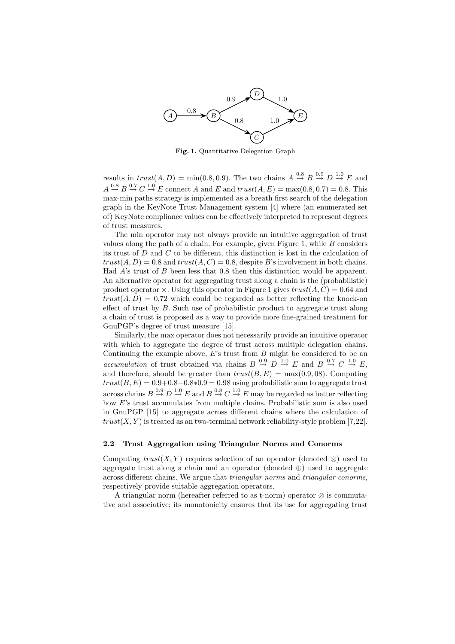

Fig. 1. Quantitative Delegation Graph

results in  $trust(A, D) = min(0.8, 0.9)$ . The two chains  $A \stackrel{0.8}{\rightarrow} B \stackrel{0.9}{\rightarrow} D \stackrel{1.0}{\rightarrow} E$  and  $A \stackrel{0.8}{\rightarrow} B \stackrel{0.7}{\rightarrow} C \stackrel{1.0}{\rightarrow} E$  connect A and E and  $trust(A, E) = \max(0.8, 0.7) = 0.8$ . This max-min paths strategy is implemented as a breath first search of the delegation graph in the KeyNote Trust Management system [4] where (an enumerated set of) KeyNote compliance values can be effectively interpreted to represent degrees of trust measures.

The min operator may not always provide an intuitive aggregation of trust values along the path of a chain. For example, given Figure 1, while  $B$  considers its trust of  $D$  and  $C$  to be different, this distinction is lost in the calculation of  $trust(A, D) = 0.8$  and  $trust(A, C) = 0.8$ , despite B's involvement in both chains. Had A's trust of B been less that 0.8 then this distinction would be apparent. An alternative operator for aggregating trust along a chain is the (probabilistic) product operator  $\times$ . Using this operator in Figure 1 gives  $trust(A, C) = 0.64$  and  $trust(A, D) = 0.72$  which could be regarded as better reflecting the knock-on effect of trust by  $B$ . Such use of probabilistic product to aggregate trust along a chain of trust is proposed as a way to provide more fine-grained treatment for GnuPGP's degree of trust measure [15].

Similarly, the max operator does not necessarily provide an intuitive operator with which to aggregate the degree of trust across multiple delegation chains. Continuing the example above,  $E$ 's trust from  $B$  might be considered to be an accumulation of trust obtained via chains  $B \stackrel{0.9}{\rightarrow} D \stackrel{1.0}{\rightarrow} E$  and  $B \stackrel{0.7}{\rightarrow} C \stackrel{1.0}{\rightarrow} E$ , and therefore, should be greater than  $trust(B, E) = \max(0.9, 08)$ . Computing  $trust(B, E) = 0.9+0.8-0.8*0.9 = 0.98$  using probabilistic sum to aggregate trust across chains  $B\stackrel{0.9}{\rightarrow} D\stackrel{1.0}{\rightarrow} E$  and  $B\stackrel{0.8}{\rightarrow} C\stackrel{1.0}{\rightarrow} E$  may be regarded as better reflecting how E's trust accumulates from multiple chains. Probabilistic sum is also used in GnuPGP [15] to aggregate across different chains where the calculation of  $trust(X, Y)$  is treated as an two-terminal network reliability-style problem [7,22].

#### 2.2 Trust Aggregation using Triangular Norms and Conorms

Computing  $trust(X, Y)$  requires selection of an operator (denoted ⊗) used to aggregate trust along a chain and an operator (denoted  $oplus$ ) used to aggregate across different chains. We argue that triangular norms and triangular conorms, respectively provide suitable aggregation operators.

A triangular norm (hereafter referred to as t-norm) operator ⊗ is commutative and associative; its monotonicity ensures that its use for aggregating trust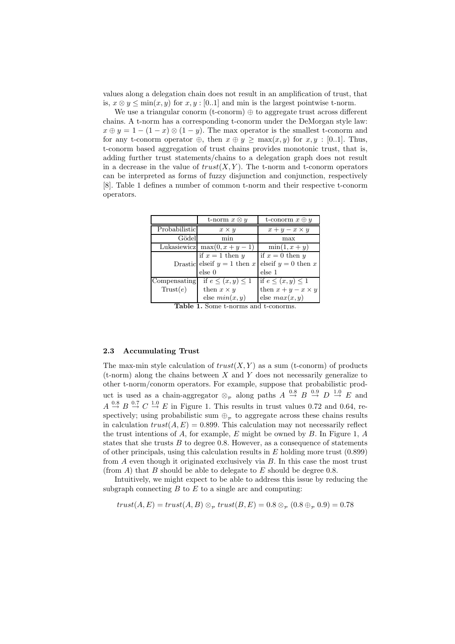values along a delegation chain does not result in an amplification of trust, that is,  $x \otimes y \le \min(x, y)$  for  $x, y : [0, 1]$  and min is the largest pointwise t-norm.

We use a triangular conorm (t-conorm) ⊕ to aggregate trust across different chains. A t-norm has a corresponding t-conorm under the DeMorgan style law:  $x \oplus y = 1 - (1 - x) \otimes (1 - y)$ . The max operator is the smallest t-conorm and for any t-conorm operator  $\oplus$ , then  $x \oplus y \ge \max(x, y)$  for  $x, y$  : [0..1]. Thus, t-conorm based aggregation of trust chains provides monotonic trust, that is, adding further trust statements/chains to a delegation graph does not result in a decrease in the value of  $trust(X, Y)$ . The t-norm and t-conorm operators can be interpreted as forms of fuzzy disjunction and conjunction, respectively [8]. Table 1 defines a number of common t-norm and their respective t-conorm operators.

|               | t-norm $x \otimes y$          | t-conorm $x \oplus y$     |
|---------------|-------------------------------|---------------------------|
| Probabilistic | $x \times y$                  | $x+y-x\times y$           |
| Gödel         | min                           | max                       |
|               | Lukasiewicz $\max(0, x+y-1)$  | $\min(1, x+y)$            |
|               | if $x=1$ then y               | if $x=0$ then y           |
|               | Drastic elseif $y = 1$ then x | elseif $y=0$ then x       |
|               | else 0                        | else 1                    |
| Compensating  | if $e \leq (x, y) \leq 1$     | if $e < (x, y) < 1$       |
| Trust(e)      | then $x \times y$             | then $x + y - x \times y$ |
| .             | else $min(x, y)$<br>$\sim$    | else $max(x, y)$          |

Table 1. Some t-norms and t-conorms.

## 2.3 Accumulating Trust

The max-min style calculation of  $trust(X, Y)$  as a sum (t-conorm) of products  $(t\text{-norm})$  along the chains between X and Y does not necessarily generalize to other t-norm/conorm operators. For example, suppose that probabilistic product is used as a chain-aggregator  $\otimes_{\mathcal{P}}$  along paths  $A \stackrel{0.8}{\rightarrow} B \stackrel{0.9}{\rightarrow} D \stackrel{1.0}{\rightarrow} E$  and  $A \stackrel{0.8}{\rightarrow} B \stackrel{0.7}{\rightarrow} C \stackrel{1.0}{\rightarrow} E$  in Figure 1. This results in trust values 0.72 and 0.64, respectively; using probabilistic sum  $\oplus_{\mathcal{P}}$  to aggregate across these chains results in calculation  $trust(A, E) = 0.899$ . This calculation may not necessarily reflect the trust intentions of  $A$ , for example,  $E$  might be owned by  $B$ . In Figure 1,  $A$ states that she trusts  $B$  to degree 0.8. However, as a consequence of statements of other principals, using this calculation results in  $E$  holding more trust  $(0.899)$ from A even though it originated exclusively via B. In this case the most trust (from  $A$ ) that  $B$  should be able to delegate to  $E$  should be degree 0.8.

Intuitively, we might expect to be able to address this issue by reducing the subgraph connecting  $B$  to  $E$  to a single arc and computing:

$$
trust(A, E) = trust(A, B) \otimes_{\mathcal{P}} trust(B, E) = 0.8 \otimes_{\mathcal{P}} (0.8 \oplus_{\mathcal{P}} 0.9) = 0.78
$$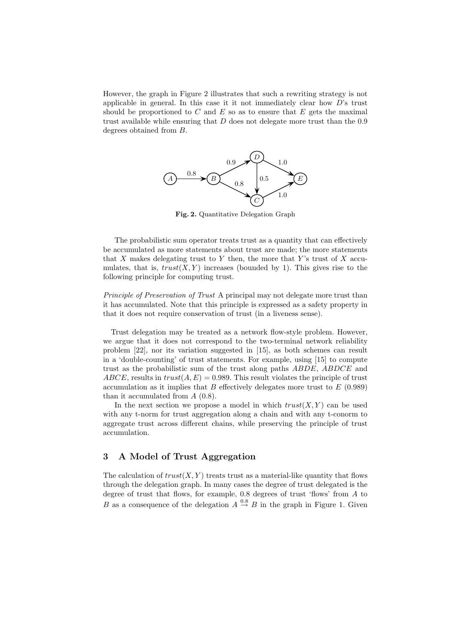However, the graph in Figure 2 illustrates that such a rewriting strategy is not applicable in general. In this case it it not immediately clear how  $D$ 's trust should be proportioned to  $C$  and  $E$  so as to ensure that  $E$  gets the maximal trust available while ensuring that  $D$  does not delegate more trust than the  $0.9$ degrees obtained from B.



Fig. 2. Quantitative Delegation Graph

The probabilistic sum operator treats trust as a quantity that can effectively be accumulated as more statements about trust are made; the more statements that X makes delegating trust to Y then, the more that Y's trust of X accumulates, that is,  $trust(X, Y)$  increases (bounded by 1). This gives rise to the following principle for computing trust.

Principle of Preservation of Trust A principal may not delegate more trust than it has accumulated. Note that this principle is expressed as a safety property in that it does not require conservation of trust (in a liveness sense).

Trust delegation may be treated as a network flow-style problem. However, we argue that it does not correspond to the two-terminal network reliability problem [22], nor its variation suggested in [15], as both schemes can result in a 'double-counting' of trust statements. For example, using [15] to compute trust as the probabilistic sum of the trust along paths ABDE, ABDCE and ABCE, results in  $trust(A, E) = 0.989$ . This result violates the principle of trust accumulation as it implies that B effectively delegates more trust to  $E(0.989)$ than it accumulated from  $A(0.8)$ .

In the next section we propose a model in which  $trust(X, Y)$  can be used with any t-norm for trust aggregation along a chain and with any t-conorm to aggregate trust across different chains, while preserving the principle of trust accumulation.

# 3 A Model of Trust Aggregation

The calculation of  $trust(X, Y)$  treats trust as a material-like quantity that flows through the delegation graph. In many cases the degree of trust delegated is the degree of trust that flows, for example, 0.8 degrees of trust 'flows' from A to B as a consequence of the delegation  $A \stackrel{0.8}{\rightarrow} B$  in the graph in Figure 1. Given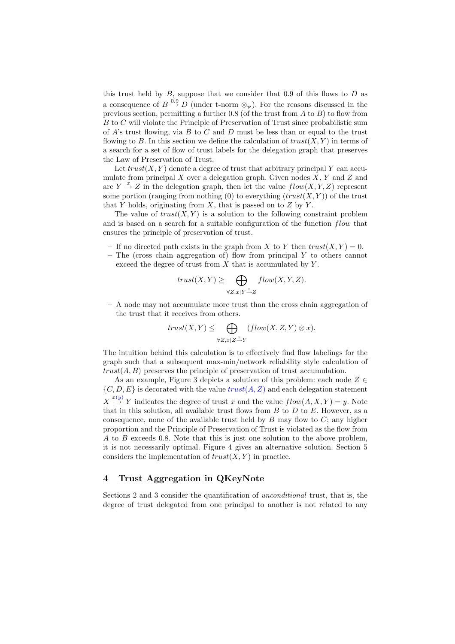this trust held by  $B$ , suppose that we consider that 0.9 of this flows to  $D$  as a consequence of  $B \stackrel{0.9}{\rightarrow} D$  (under t-norm  $\otimes_{\mathcal{P}}$ ). For the reasons discussed in the previous section, permitting a further  $0.8$  (of the trust from  $A$  to  $B$ ) to flow from B to C will violate the Principle of Preservation of Trust since probabilistic sum of  $A$ 's trust flowing, via  $B$  to  $C$  and  $D$  must be less than or equal to the trust flowing to B. In this section we define the calculation of  $trust(X, Y)$  in terms of a search for a set of flow of trust labels for the delegation graph that preserves the Law of Preservation of Trust.

Let  $trust(X, Y)$  denote a degree of trust that arbitrary principal Y can accumulate from principal X over a delegation graph. Given nodes  $X, Y$  and Z and arc  $Y \stackrel{x}{\rightarrow} Z$  in the delegation graph, then let the value  $flow(X, Y, Z)$  represent some portion (ranging from nothing  $(0)$  to everything  $(trust(X, Y))$  of the trust that Y holds, originating from  $X$ , that is passed on to  $Z$  by  $Y$ .

The value of  $trust(X, Y)$  is a solution to the following constraint problem and is based on a search for a suitable configuration of the function flow that ensures the principle of preservation of trust.

- If no directed path exists in the graph from X to Y then  $trust(X, Y) = 0$ .
- $-$  The (cross chain aggregation of) flow from principal Y to others cannot exceed the degree of trust from  $X$  that is accumulated by  $Y$ .

$$
trust(X,Y) \geq \bigoplus_{\forall Z, x | Y \stackrel{x}{\rightarrow} Z} flow(X,Y,Z).
$$

– A node may not accumulate more trust than the cross chain aggregation of the trust that it receives from others.

$$
trust(X,Y) \leq \bigoplus_{\forall Z, x | Z \xrightarrow{x} Y} (flow(X, Z, Y) \otimes x).
$$

The intuition behind this calculation is to effectively find flow labelings for the graph such that a subsequent max-min/network reliability style calculation of  $trust(A, B)$  preserves the principle of preservation of trust accumulation.

As an example, Figure 3 depicts a solution of this problem: each node  $Z \in$  $\{C, D, E\}$  is decorated with the value  $trust(A, Z)$  and each delegation statement  $X \stackrel{x(y)}{\rightarrow} Y$  indicates the degree of trust x and the value  $flow(A, X, Y) = y$ . Note that in this solution, all available trust flows from  $B$  to  $D$  to  $E$ . However, as a consequence, none of the available trust held by  $B$  may flow to  $C$ ; any higher proportion and the Principle of Preservation of Trust is violated as the flow from A to B exceeds 0.8. Note that this is just one solution to the above problem, it is not necessarily optimal. Figure 4 gives an alternative solution. Section 5 considers the implementation of  $trust(X, Y)$  in practice.

# 4 Trust Aggregation in QKeyNote

Sections 2 and 3 consider the quantification of unconditional trust, that is, the degree of trust delegated from one principal to another is not related to any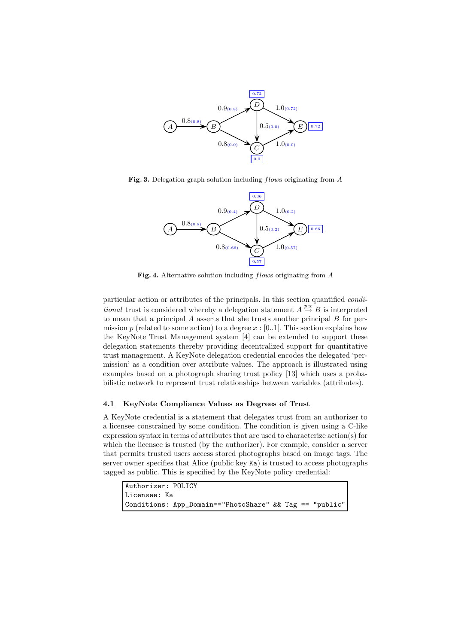

Fig. 3. Delegation graph solution including flows originating from A



Fig. 4. Alternative solution including flows originating from A

particular action or attributes of the principals. In this section quantified conditional trust is considered whereby a delegation statement  $A \stackrel{p:x}{\rightarrow} B$  is interpreted to mean that a principal  $A$  asserts that she trusts another principal  $B$  for permission p (related to some action) to a degree  $x : [0..1]$ . This section explains how the KeyNote Trust Management system [4] can be extended to support these delegation statements thereby providing decentralized support for quantitative trust management. A KeyNote delegation credential encodes the delegated 'permission' as a condition over attribute values. The approach is illustrated using examples based on a photograph sharing trust policy [13] which uses a probabilistic network to represent trust relationships between variables (attributes).

#### 4.1 KeyNote Compliance Values as Degrees of Trust

A KeyNote credential is a statement that delegates trust from an authorizer to a licensee constrained by some condition. The condition is given using a C-like expression syntax in terms of attributes that are used to characterize action(s) for which the licensee is trusted (by the authorizer). For example, consider a server that permits trusted users access stored photographs based on image tags. The server owner specifies that Alice (public key Ka) is trusted to access photographs tagged as public. This is specified by the KeyNote policy credential:

```
Authorizer: POLICY
Licensee: Ka
Conditions: App_Domain=="PhotoShare" && Tag == "public";
```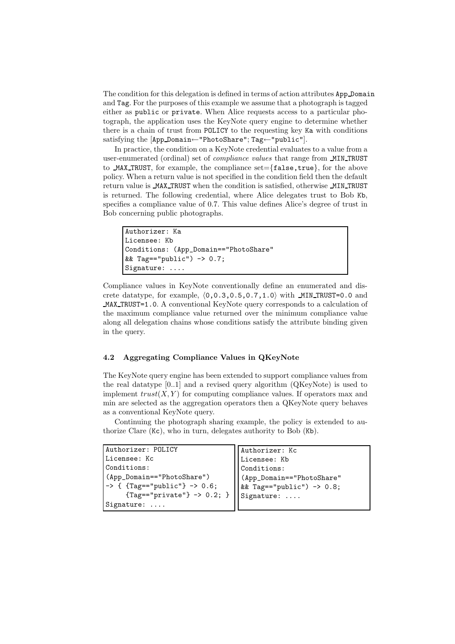The condition for this delegation is defined in terms of action attributes App Domain and Tag. For the purposes of this example we assume that a photograph is tagged either as public or private. When Alice requests access to a particular photograph, the application uses the KeyNote query engine to determine whether there is a chain of trust from POLICY to the requesting key Ka with conditions satisfying the [App Domain←"PhotoShare"; Tag←"public"].

In practice, the condition on a KeyNote credential evaluates to a value from a user-enumerated (ordinal) set of *compliance values* that range from **MIN** TRUST to MAX TRUST, for example, the compliance set={false,true}, for the above policy. When a return value is not specified in the condition field then the default return value is MAX TRUST when the condition is satisfied, otherwise MIN TRUST is returned. The following credential, where Alice delegates trust to Bob Kb, specifies a compliance value of 0.7. This value defines Alice's degree of trust in Bob concerning public photographs.

```
Authorizer: Ka
Licensee: Kb
Conditions: (App_Domain=="PhotoShare"
&& Tag == "public" ) \rightarrow 0.7;
Signature: ....
```
Compliance values in KeyNote conventionally define an enumerated and discrete datatype, for example,  $(0,0.3,0.5,0.7,1.0)$  with MIN TRUST=0.0 and MAX TRUST=1.0. A conventional KeyNote query corresponds to a calculation of the maximum compliance value returned over the minimum compliance value along all delegation chains whose conditions satisfy the attribute binding given in the query.

### 4.2 Aggregating Compliance Values in QKeyNote

The KeyNote query engine has been extended to support compliance values from the real datatype [0..1] and a revised query algorithm (QKeyNote) is used to implement  $trust(X, Y)$  for computing compliance values. If operators max and min are selected as the aggregation operators then a QKeyNote query behaves as a conventional KeyNote query.

Continuing the photograph sharing example, the policy is extended to authorize Clare (Kc), who in turn, delegates authority to Bob (Kb).

| Authorizer: POLICY                                     | Authorizer: Kc                  |  |
|--------------------------------------------------------|---------------------------------|--|
| Licensee: Kc                                           | Licensee: Kb                    |  |
| Conditions:                                            | Conditions:                     |  |
| (App_Domain=="PhotoShare")                             | (App_Domain == "PhotoShare"     |  |
| $\Rightarrow$ { $\{Tag == "public"\} \Rightarrow 0.6;$ | && Tag == "public" ) -> $0.8$ ; |  |
| $\{Tag == "private"\} \rightarrow 0.2;$                | Signature:                      |  |
| $Signature: \ldots$                                    |                                 |  |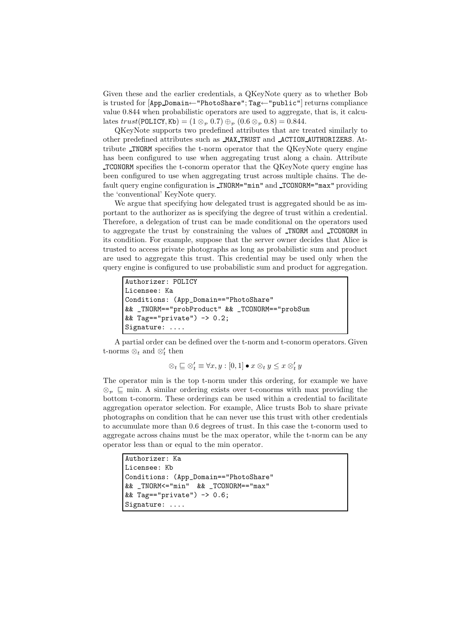Given these and the earlier credentials, a QKeyNote query as to whether Bob is trusted for [App Domain←"PhotoShare"; Tag←"public"] returns compliance value 0.844 when probabilistic operators are used to aggregate, that is, it calculates  $trust(POLICY, Kb) = (1 \otimes_{\mathcal{P}} 0.7) \oplus_{\mathcal{P}} (0.6 \otimes_{\mathcal{P}} 0.8) = 0.844.$ 

QKeyNote supports two predefined attributes that are treated similarly to other predefined attributes such as MAX TRUST and ACTION AUTHORIZERS. Attribute TNORM specifies the t-norm operator that the QKeyNote query engine has been configured to use when aggregating trust along a chain. Attribute TCONORM specifies the t-conorm operator that the QKeyNote query engine has been configured to use when aggregating trust across multiple chains. The default query engine configuration is \_TNORM="min" and \_TCONORM="max" providing the 'conventional' KeyNote query.

We argue that specifying how delegated trust is aggregated should be as important to the authorizer as is specifying the degree of trust within a credential. Therefore, a delegation of trust can be made conditional on the operators used to aggregate the trust by constraining the values of TNORM and TCONORM in its condition. For example, suppose that the server owner decides that Alice is trusted to access private photographs as long as probabilistic sum and product are used to aggregate this trust. This credential may be used only when the query engine is configured to use probabilistic sum and product for aggregation.

```
Authorizer: POLICY
Licensee: Ka
Conditions: (App_Domain=="PhotoShare"
&& _TNORM=="probProduct" && _TCONORM=="probSum
&& Tag=="private") -> 0.2;
Signature: ....
```
A partial order can be defined over the t-norm and t-conorm operators. Given t-norms  $\otimes_t$  and  $\otimes'_t$  then

$$
\otimes_t \sqsubseteq \otimes_t' \equiv \forall x,y: [0,1] \bullet x \otimes_t y \leq x \otimes_t' y
$$

The operator min is the top t-norm under this ordering, for example we have  $\otimes_{\mathcal{P}} \subseteq$  min. A similar ordering exists over t-conorms with max providing the bottom t-conorm. These orderings can be used within a credential to facilitate aggregation operator selection. For example, Alice trusts Bob to share private photographs on condition that he can never use this trust with other credentials to accumulate more than 0.6 degrees of trust. In this case the t-conorm used to aggregate across chains must be the max operator, while the t-norm can be any operator less than or equal to the min operator.

```
Authorizer: Ka
Licensee: Kb
Conditions: (App_Domain=="PhotoShare"
&& _TNORM<="min" && _TCONORM=="max"
&& Tag=="private") -> 0.6;
Signature: ....
```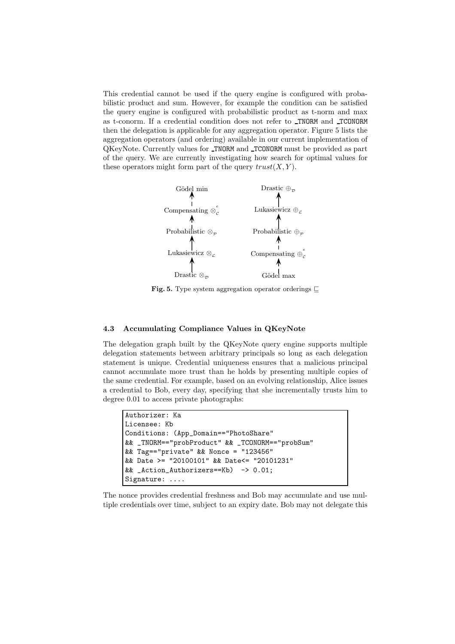This credential cannot be used if the query engine is configured with probabilistic product and sum. However, for example the condition can be satisfied the query engine is configured with probabilistic product as t-norm and max as t-conorm. If a credential condition does not refer to TNORM and TCONORM then the delegation is applicable for any aggregation operator. Figure 5 lists the aggregation operators (and ordering) available in our current implementation of QKeyNote. Currently values for TNORM and TCONORM must be provided as part of the query. We are currently investigating how search for optimal values for these operators might form part of the query  $trust(X, Y)$ .



Fig. 5. Type system aggregation operator orderings ⊑

#### 4.3 Accumulating Compliance Values in QKeyNote

The delegation graph built by the QKeyNote query engine supports multiple delegation statements between arbitrary principals so long as each delegation statement is unique. Credential uniqueness ensures that a malicious principal cannot accumulate more trust than he holds by presenting multiple copies of the same credential. For example, based on an evolving relationship, Alice issues a credential to Bob, every day, specifying that she incrementally trusts him to degree 0.01 to access private photographs:

```
Authorizer: Ka
Licensee: Kb
Conditions: (App_Domain=="PhotoShare"
&& _TNORM=="probProduct" && _TCONORM=="probSum"
&& Tag=="private" && Nonce = "123456"
&& Date >= "20100101" && Date<= "20101231"
&& _Action_Authorizers==Kb) -> 0.01;
Signature: ....
```
The nonce provides credential freshness and Bob may accumulate and use multiple credentials over time, subject to an expiry date. Bob may not delegate this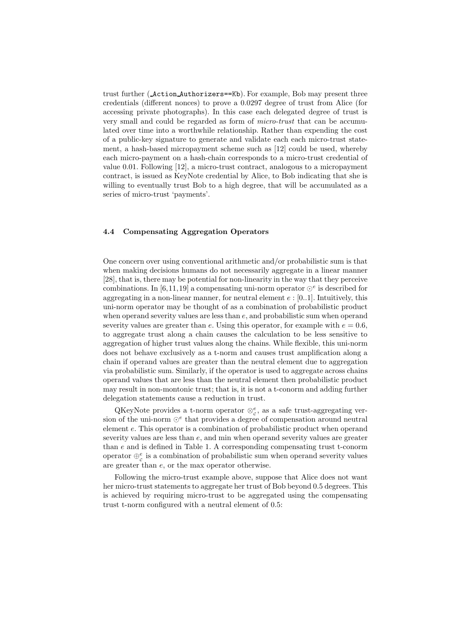trust further ( Action Authorizers==Kb). For example, Bob may present three credentials (different nonces) to prove a 0.0297 degree of trust from Alice (for accessing private photographs). In this case each delegated degree of trust is very small and could be regarded as form of micro-trust that can be accumulated over time into a worthwhile relationship. Rather than expending the cost of a public-key signature to generate and validate each each micro-trust statement, a hash-based micropayment scheme such as [12] could be used, whereby each micro-payment on a hash-chain corresponds to a micro-trust credential of value 0.01. Following [12], a micro-trust contract, analogous to a micropayment contract, is issued as KeyNote credential by Alice, to Bob indicating that she is willing to eventually trust Bob to a high degree, that will be accumulated as a series of micro-trust 'payments'.

#### 4.4 Compensating Aggregation Operators

One concern over using conventional arithmetic and/or probabilistic sum is that when making decisions humans do not necessarily aggregate in a linear manner [28], that is, there may be potential for non-linearity in the way that they perceive combinations. In [6,11,19] a compensating uni-norm operator  $\odot^e$  is described for aggregating in a non-linear manner, for neutral element  $e : [0,1]$ . Intuitively, this uni-norm operator may be thought of as a combination of probabilistic product when operand severity values are less than  $e$ , and probabilistic sum when operand severity values are greater than e. Using this operator, for example with  $e = 0.6$ , to aggregate trust along a chain causes the calculation to be less sensitive to aggregation of higher trust values along the chains. While flexible, this uni-norm does not behave exclusively as a t-norm and causes trust amplification along a chain if operand values are greater than the neutral element due to aggregation via probabilistic sum. Similarly, if the operator is used to aggregate across chains operand values that are less than the neutral element then probabilistic product may result in non-montonic trust; that is, it is not a t-conorm and adding further delegation statements cause a reduction in trust.

QKeyNote provides a t-norm operator  $\otimes_c^e$ , as a safe trust-aggregating version of the uni-norm  $\odot^e$  that provides a degree of compensation around neutral element e. This operator is a combination of probabilistic product when operand severity values are less than  $e$ , and min when operand severity values are greater than e and is defined in Table 1. A corresponding compensating trust t-conorm operator  $\oplus_{c}^e$  is a combination of probabilistic sum when operand severity values are greater than e, or the max operator otherwise.

Following the micro-trust example above, suppose that Alice does not want her micro-trust statements to aggregate her trust of Bob beyond 0.5 degrees. This is achieved by requiring micro-trust to be aggregated using the compensating trust t-norm configured with a neutral element of 0.5: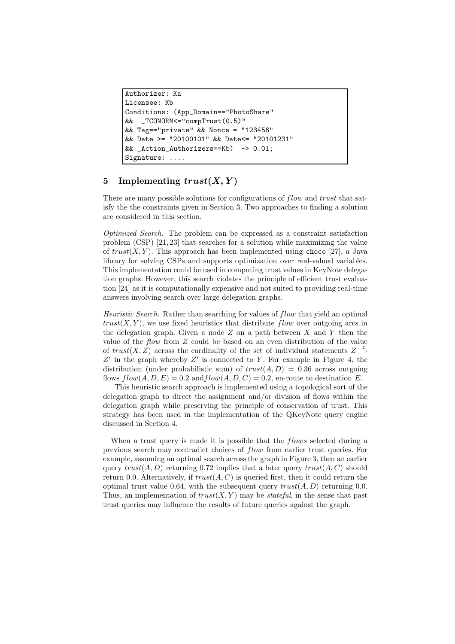```
Authorizer: Ka
Licensee: Kb
Conditions: (App_Domain=="PhotoShare"
&& _TCONORM<="compTrust(0.5)"
&& Tag=="private" && Nonce = "123456"
&& Date >= "20100101" && Date<= "20101231"
&& _Action_Authorizers==Kb) -> 0.01;
Signature: ....
```
# 5 Implementing  $trust(X, Y)$

There are many possible solutions for configurations of flow and trust that satisfy the the constraints given in Section 3. Two approaches to finding a solution are considered in this section.

Optimized Search. The problem can be expressed as a constraint satisfaction problem (CSP) [21, 23] that searches for a solution while maximizing the value of  $trust(X, Y)$ . This approach has been implemented using choco [27], a Java library for solving CSPs and supports optimization over real-valued variables. This implementation could be used in computing trust values in KeyNote delegation graphs. However, this search violates the principle of efficient trust evaluation [24] as it is computationally expensive and not suited to providing real-time answers involving search over large delegation graphs.

Heuristic Search. Rather than searching for values of flow that yield an optimal trust(X, Y), we use fixed heuristics that distribute flow over outgoing arcs in the delegation graph. Given a node  $Z$  on a path between  $X$  and  $Y$  then the value of the flow from Z could be based on an even distribution of the value of  $trust(X, Z)$  across the cardinality of the set of individual statements  $Z \stackrel{z}{\rightarrow}$  $Z'$  in the graph whereby  $Z'$  is connected to Y. For example in Figure 4, the distribution (under probabilistic sum) of  $trust(A, D) = 0.36$  across outgoing flows  $flow(A, D, E) = 0.2$  and  $flow(A, D, C) = 0.2$ , en-route to destination E.

This heuristic search approach is implemented using a topological sort of the delegation graph to direct the assignment and/or division of flows within the delegation graph while preserving the principle of conservation of trust. This strategy has been used in the implementation of the QKeyNote query engine discussed in Section 4.

When a trust query is made it is possible that the *flows* selected during a previous search may contradict choices of flow from earlier trust queries. For example, assuming an optimal search across the graph in Figure 3, then an earlier query  $trust(A, D)$  returning 0.72 implies that a later query  $trust(A, C)$  should return 0.0. Alternatively, if  $trust(A, C)$  is queried first, then it could return the optimal trust value 0.64, with the subsequent query  $trust(A, D)$  returning 0.0. Thus, an implementation of  $trust(X, Y)$  may be *stateful*, in the sense that past trust queries may influence the results of future queries against the graph.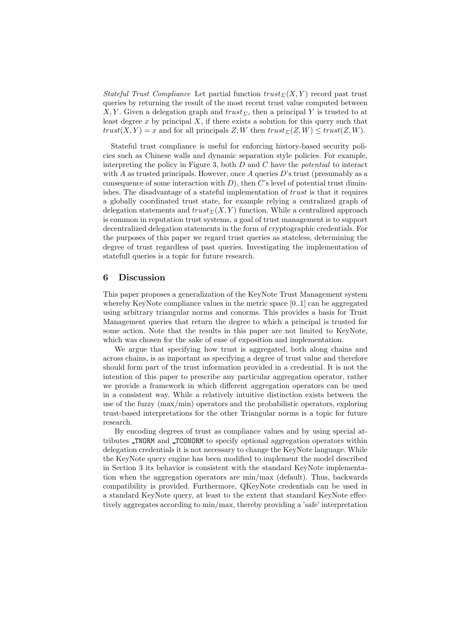Stateful Trust Compliance Let partial function  $trust_{\Sigma}(X, Y)$  record past trust queries by returning the result of the most recent trust value computed between X, Y. Given a delegation graph and  $trust_{\Sigma}$ , then a principal Y is trusted to at least degree  $x$  by principal  $X$ , if there exists a solution for this query such that  $trust(X, Y) = x$  and for all principals  $Z, W$  then  $trust_{\Sigma}(Z, W) \leq trust(Z, W)$ .

Stateful trust compliance is useful for enforcing history-based security policies such as Chinese walls and dynamic separation style policies. For example, interpreting the policy in Figure 3, both  $D$  and  $C$  have the *potential* to interact with A as trusted principals. However, once A queries  $D$ 's trust (presumably as a consequence of some interaction with  $D$ ), then C's level of potential trust diminishes. The disadvantage of a stateful implementation of trust is that it requires a globally coordinated trust state, for example relying a centralized graph of delegation statements and  $trust_{\Sigma}(X, Y)$  function. While a centralized approach is common in reputation trust systems, a goal of trust management is to support decentralized delegation statements in the form of cryptographic credentials. For the purposes of this paper we regard trust queries as stateless, determining the degree of trust regardless of past queries. Investigating the implementation of statefull queries is a topic for future research.

#### 6 Discussion

This paper proposes a generalization of the KeyNote Trust Management system whereby KeyNote compliance values in the metric space [0..1] can be aggregated using arbitrary triangular norms and conorms. This provides a basis for Trust Management queries that return the degree to which a principal is trusted for some action. Note that the results in this paper are not limited to KeyNote, which was chosen for the sake of ease of exposition and implementation.

We argue that specifying how trust is aggregated, both along chains and across chains, is as important as specifying a degree of trust value and therefore should form part of the trust information provided in a credential. It is not the intention of this paper to prescribe any particular aggregation operator, rather we provide a framework in which different aggregation operators can be used in a consistent way. While a relatively intuitive distinction exists between the use of the fuzzy (max/min) operators and the probabilistic operators, exploring trust-based interpretations for the other Triangular norms is a topic for future research.

By encoding degrees of trust as compliance values and by using special attributes TNORM and TCONORM to specify optional aggregation operators within delegation credentials it is not necessary to change the KeyNote language. While the KeyNote query engine has been modified to implement the model described in Section 3 its behavior is consistent with the standard KeyNote implementation when the aggregation operators are min/max (default). Thus, backwards compatibility is provided. Furthermore, QKeyNote credentials can be used in a standard KeyNote query, at least to the extent that standard KeyNote effectively aggregates according to min/max, thereby providing a 'safe' interpretation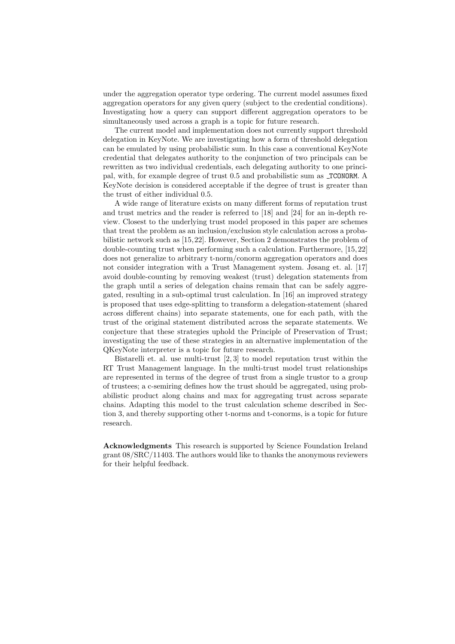under the aggregation operator type ordering. The current model assumes fixed aggregation operators for any given query (subject to the credential conditions). Investigating how a query can support different aggregation operators to be simultaneously used across a graph is a topic for future research.

The current model and implementation does not currently support threshold delegation in KeyNote. We are investigating how a form of threshold delegation can be emulated by using probabilistic sum. In this case a conventional KeyNote credential that delegates authority to the conjunction of two principals can be rewritten as two individual credentials, each delegating authority to one principal, with, for example degree of trust 0.5 and probabilistic sum as TCONORM. A KeyNote decision is considered acceptable if the degree of trust is greater than the trust of either individual 0.5.

A wide range of literature exists on many different forms of reputation trust and trust metrics and the reader is referred to [18] and [24] for an in-depth review. Closest to the underlying trust model proposed in this paper are schemes that treat the problem as an inclusion/exclusion style calculation across a probabilistic network such as [15,22]. However, Section 2 demonstrates the problem of double-counting trust when performing such a calculation. Furthermore, [15, 22] does not generalize to arbitrary t-norm/conorm aggregation operators and does not consider integration with a Trust Management system. Jøsang et. al. [17] avoid double-counting by removing weakest (trust) delegation statements from the graph until a series of delegation chains remain that can be safely aggregated, resulting in a sub-optimal trust calculation. In [16] an improved strategy is proposed that uses edge-splitting to transform a delegation-statement (shared across different chains) into separate statements, one for each path, with the trust of the original statement distributed across the separate statements. We conjecture that these strategies uphold the Principle of Preservation of Trust; investigating the use of these strategies in an alternative implementation of the QKeyNote interpreter is a topic for future research.

Bistarelli et. al. use multi-trust [2, 3] to model reputation trust within the RT Trust Management language. In the multi-trust model trust relationships are represented in terms of the degree of trust from a single trustor to a group of trustees; a c-semiring defines how the trust should be aggregated, using probabilistic product along chains and max for aggregating trust across separate chains. Adapting this model to the trust calculation scheme described in Section 3, and thereby supporting other t-norms and t-conorms, is a topic for future research.

Acknowledgments This research is supported by Science Foundation Ireland grant 08/SRC/11403. The authors would like to thanks the anonymous reviewers for their helpful feedback.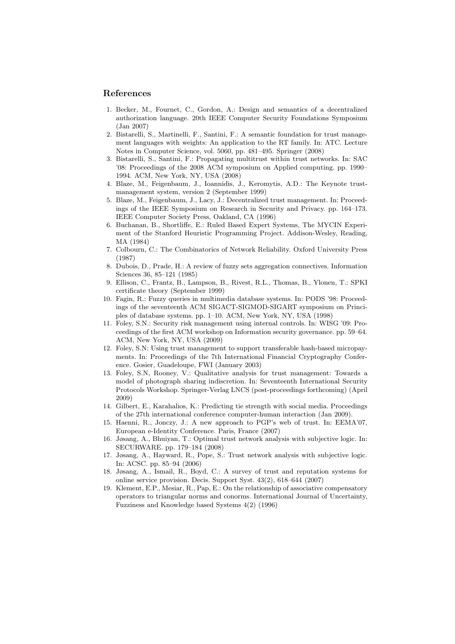## References

- 1. Becker, M., Fournet, C., Gordon, A.: Design and semantics of a decentralized authorization language. 20th IEEE Computer Security Foundations Symposium (Jan 2007)
- 2. Bistarelli, S., Martinelli, F., Santini, F.: A semantic foundation for trust management languages with weights: An application to the RT family. In: ATC. Lecture Notes in Computer Science, vol. 5060, pp. 481–495. Springer (2008)
- 3. Bistarelli, S., Santini, F.: Propagating multitrust within trust networks. In: SAC '08: Proceedings of the 2008 ACM symposium on Applied computing. pp. 1990– 1994. ACM, New York, NY, USA (2008)
- 4. Blaze, M., Feigenbaum, J., Ioannidis, J., Keromytis, A.D.: The Keynote trustmanagement system, version 2 (September 1999)
- 5. Blaze, M., Feigenbaum, J., Lacy, J.: Decentralized trust management. In: Proceedings of the IEEE Symposium on Research in Security and Privacy. pp. 164–173. IEEE Computer Society Press, Oakland, CA (1996)
- 6. Buchanan, B., Shortliffe, E.: Ruled Based Expert Systems, The MYCIN Experiment of the Stanford Heuristic Programming Project. Addison-Wesley, Reading, MA (1984)
- 7. Colbourn, C.: The Combinatorics of Network Reliability. Oxford University Press (1987)
- 8. Dubois, D., Prade, H.: A review of fuzzy sets aggregation connectives. Information Sciences 36, 85–121 (1985)
- 9. Ellison, C., Frantz, B., Lampson, B., Rivest, R.L., Thomas, B., Ylonen, T.: SPKI certificate theory (September 1999)
- 10. Fagin, R.: Fuzzy queries in multimedia database systems. In: PODS '98: Proceedings of the seventeenth ACM SIGACT-SIGMOD-SIGART symposium on Principles of database systems. pp. 1–10. ACM, New York, NY, USA (1998)
- 11. Foley, S.N.: Security risk management using internal controls. In: WISG '09: Proceedings of the first ACM workshop on Information security governance. pp. 59–64. ACM, New York, NY, USA (2009)
- 12. Foley, S.N: Using trust management to support transferable hash-based micropayments. In: Proceedings of the 7th International Financial Cryptography Conference. Gosier, Guadeloupe, FWI (January 2003)
- 13. Foley, S.N, Rooney, V.: Qualitative analysis for trust management: Towards a model of photograph sharing indiscretion. In: Seventeenth International Security Protocols Workshop. Springer-Verlag LNCS (post-proceedings forthcoming) (April 2009)
- 14. Gilbert, E., Karahalios, K.: Predicting tie strength with social media. Proceedings of the 27th international conference computer-human interaction (Jan 2009).
- 15. Haenni, R., Jonczy, J.: A new approach to PGP's web of trust. In: EEMA'07, European e-Identity Conference. Paris, France (2007)
- 16. Jøsang, A., Bhuiyan, T.: Optimal trust network analysis with subjective logic. In: SECURWARE. pp. 179–184 (2008)
- 17. Jøsang, A., Hayward, R., Pope, S.: Trust network analysis with subjective logic. In: ACSC. pp. 85–94 (2006)
- 18. Jøsang, A., Ismail, R., Boyd, C.: A survey of trust and reputation systems for online service provision. Decis. Support Syst. 43(2), 618–644 (2007)
- 19. Klement, E.P., Mesiar, R., Pap, E.: On the relationship of associative compensatory operators to triangular norms and conorms. International Journal of Uncertainty, Fuzziness and Knowledge based Systems 4(2) (1996)